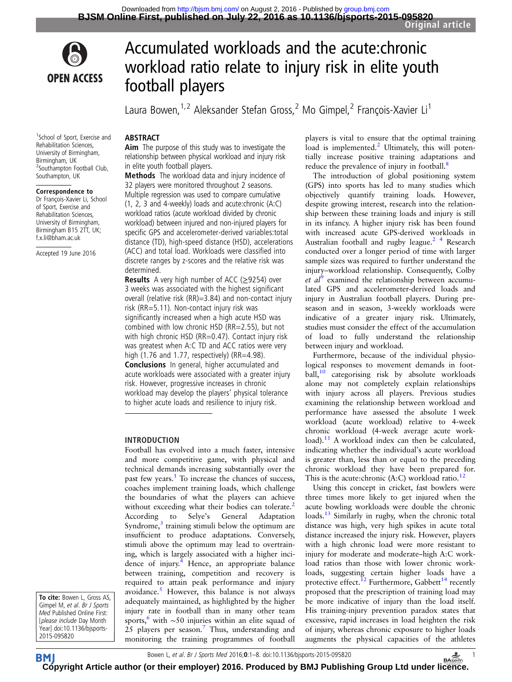



# Accumulated workloads and the acute:chronic workload ratio relate to injury risk in elite youth football players

Laura Bowen,<sup>1,2</sup> Aleksander Stefan Gross,<sup>2</sup> Mo Gimpel,<sup>2</sup> François-Xavier Li<sup>1</sup>

## **ABSTRACT**

Aim The purpose of this study was to investigate the relationship between physical workload and injury risk in elite youth football players.

Methods The workload data and injury incidence of 32 players were monitored throughout 2 seasons. Multiple regression was used to compare cumulative (1, 2, 3 and 4-weekly) loads and acute:chronic (A:C) workload ratios (acute workload divided by chronic workload) between injured and non-injured players for specific GPS and accelerometer-derived variables:total distance (TD), high-speed distance (HSD), accelerations (ACC) and total load. Workloads were classified into discrete ranges by z-scores and the relative risk was determined.

**Results** A very high number of ACC ( $\geq$ 9254) over 3 weeks was associated with the highest significant overall (relative risk (RR)=3.84) and non-contact injury risk (RR=5.11). Non-contact injury risk was significantly increased when a high acute HSD was combined with low chronic HSD (RR=2.55), but not with high chronic HSD (RR=0.47). Contact injury risk was greatest when A:C TD and ACC ratios were very high (1.76 and 1.77, respectively) (RR=4.98). Conclusions In general, higher accumulated and acute workloads were associated with a greater injury risk. However, progressive increases in chronic workload may develop the players' physical tolerance to higher acute loads and resilience to injury risk.

## INTRODUCTION

Football has evolved into a much faster, intensive and more competitive game, with physical and technical demands increasing substantially over the past few years[.1](#page-7-0) To increase the chances of success, coaches implement training loads, which challenge the boundaries of what the players can achieve without exceeding what their bodies can tolerate.<sup>[2](#page-7-0)</sup><br>According to Selye's General Adaptation According to Selye's General Adaptation Syndrome, $3$  training stimuli below the optimum are insufficient to produce adaptations. Conversely, stimuli above the optimum may lead to overtraining, which is largely associated with a higher inci-dence of injury.<sup>[4](#page-7-0)</sup> Hence, an appropriate balance between training, competition and recovery is required to attain peak performance and injury avoidance. $5$  However, this balance is not always adequately maintained, as highlighted by the higher injury rate in football than in many other team sports,<sup>[6](#page-7-0)</sup> with ∼50 injuries within an elite squad of 25 players per season.<sup>[7](#page-7-0)</sup> Thus, understanding and monitoring the training programmes of football

players is vital to ensure that the optimal training load is implemented. $^{2}$  $^{2}$  $^{2}$  Ultimately, this will potentially increase positive training adaptations and reduce the prevalence of injury in football.<sup>[8](#page-7-0)</sup>

The introduction of global positioning system (GPS) into sports has led to many studies which objectively quantify training loads. However, despite growing interest, research into the relationship between these training loads and injury is still in its infancy. A higher injury risk has been found with increased acute GPS-derived workloads in Australian football and rugby league.<sup>2</sup> <sup>4</sup> Research conducted over a longer period of time with larger sample sizes was required to further understand the injury–workload relationship. Consequently, Colby et  $al^9$  $al^9$  examined the relationship between accumulated GPS and accelerometer-derived loads and injury in Australian football players. During preseason and in season, 3-weekly workloads were indicative of a greater injury risk. Ultimately, studies must consider the effect of the accumulation of load to fully understand the relationship between injury and workload.

Furthermore, because of the individual physiological responses to movement demands in foot-ball,<sup>[10](#page-7-0)</sup> categorising risk by absolute workloads alone may not completely explain relationships with injury across all players. Previous studies examining the relationship between workload and performance have assessed the absolute 1 week workload (acute workload) relative to 4-week chronic workload (4-week average acute workload). $11$  A workload index can then be calculated, indicating whether the individual's acute workload is greater than, less than or equal to the preceding chronic workload they have been prepared for. This is the acute: chronic (A:C) workload ratio.<sup>[12](#page-7-0)</sup>

Using this concept in cricket, fast bowlers were three times more likely to get injured when the acute bowling workloads were double the chronic loads.<sup>13</sup> Similarly in rugby, when the chronic total distance was high, very high spikes in acute total distance increased the injury risk. However, players with a high chronic load were more resistant to injury for moderate and moderate–high A:C workload ratios than those with lower chronic workloads, suggesting certain higher loads have a protective effect.<sup>12</sup> Furthermore, Gabbett<sup>14</sup> recently proposed that the prescription of training load may be more indicative of injury than the load itself. His training-injury prevention paradox states that excessive, rapid increases in load heighten the risk of injury, whereas chronic exposure to higher loads augments the physical capacities of the athletes

<sup>1</sup>School of Sport, Exercise and

Rehabilitation Sciences, University of Birmingham, Birmingham, UK 2 Southampton Football Club, Southampton, UK

#### Correspondence to

Dr François-Xavier Li, School of Sport, Exercise and Rehabilitation Sciences, University of Birmingham, Birmingham B15 2TT, UK; f.x.li@bham.ac.uk

Accepted 19 June 2016

To cite: Bowen L, Gross AS, Gimpel M, et al. Br J Sports Med Published Online First: [please include Day Month Year] doi:10.1136/bjsports-2015-095820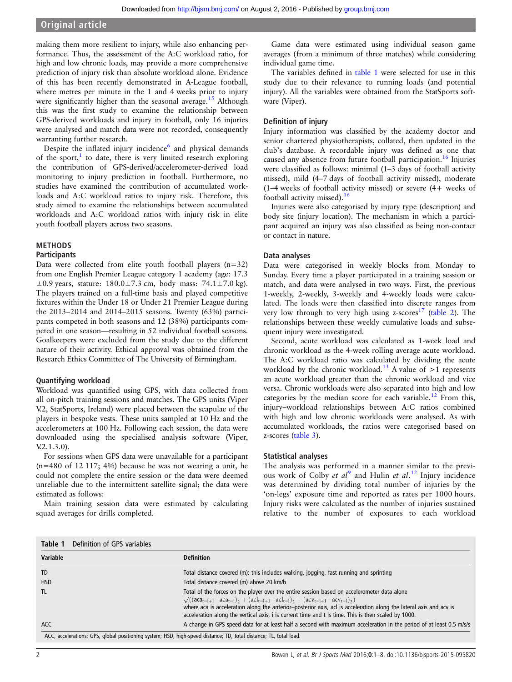making them more resilient to injury, while also enhancing performance. Thus, the assessment of the A:C workload ratio, for high and low chronic loads, may provide a more comprehensive prediction of injury risk than absolute workload alone. Evidence of this has been recently demonstrated in A-League football, where metres per minute in the 1 and 4 weeks prior to injury were significantly higher than the seasonal average.<sup>[15](#page-7-0)</sup> Although this was the first study to examine the relationship between GPS-derived workloads and injury in football, only 16 injuries were analysed and match data were not recorded, consequently warranting further research.

Despite the inflated injury incidence $<sup>6</sup>$  and physical demands</sup> of the sport, $\frac{1}{1}$  $\frac{1}{1}$  $\frac{1}{1}$  to date, there is very limited research exploring the contribution of GPS-derived/accelerometer-derived load monitoring to injury prediction in football. Furthermore, no studies have examined the contribution of accumulated workloads and A:C workload ratios to injury risk. Therefore, this study aimed to examine the relationships between accumulated workloads and A:C workload ratios with injury risk in elite youth football players across two seasons.

## METHODS

#### Participants

Data were collected from elite youth football players (n=32) from one English Premier League category 1 academy (age: 17.3  $\pm 0.9$  years, stature:  $180.0 \pm 7.3$  cm, body mass:  $74.1 \pm 7.0$  kg). The players trained on a full-time basis and played competitive fixtures within the Under 18 or Under 21 Premier League during the 2013–2014 and 2014–2015 seasons. Twenty (63%) participants competed in both seasons and 12 (38%) participants competed in one season—resulting in 52 individual football seasons. Goalkeepers were excluded from the study due to the different nature of their activity. Ethical approval was obtained from the Research Ethics Committee of The University of Birmingham.

#### Quantifying workload

Workload was quantified using GPS, with data collected from all on-pitch training sessions and matches. The GPS units (Viper V.2, StatSports, Ireland) were placed between the scapulae of the players in bespoke vests. These units sampled at 10 Hz and the accelerometers at 100 Hz. Following each session, the data were downloaded using the specialised analysis software (Viper, V.2.1.3.0).

For sessions when GPS data were unavailable for a participant  $(n=480 \text{ of } 12 \frac{117}{3}; 4\%)$  because he was not wearing a unit, he could not complete the entire session or the data were deemed unreliable due to the intermittent satellite signal; the data were estimated as follows:

Main training session data were estimated by calculating squad averages for drills completed.

Game data were estimated using individual season game averages (from a minimum of three matches) while considering individual game time.

The variables defined in table 1 were selected for use in this study due to their relevance to running loads (and potential injury). All the variables were obtained from the StatSports software (Viper).

## Definition of injury

Injury information was classified by the academy doctor and senior chartered physiotherapists, collated, then updated in the club's database. A recordable injury was defined as one that caused any absence from future football participation.<sup>16</sup> Injuries were classified as follows: minimal (1–3 days of football activity missed), mild (4–7 days of football activity missed), moderate (1–4 weeks of football activity missed) or severe (4+ weeks of football activity missed).<sup>[16](#page-7-0)</sup>

Injuries were also categorised by injury type (description) and body site (injury location). The mechanism in which a participant acquired an injury was also classified as being non-contact or contact in nature.

#### Data analyses

Data were categorised in weekly blocks from Monday to Sunday. Every time a player participated in a training session or match, and data were analysed in two ways. First, the previous 1-weekly, 2-weekly, 3-weekly and 4-weekly loads were calculated. The loads were then classified into discrete ranges from very low through to very high using  $z$ -scores<sup>[17](#page-7-0)</sup> [\(table 2\)](#page-2-0). The relationships between these weekly cumulative loads and subsequent injury were investigated.

Second, acute workload was calculated as 1-week load and chronic workload as the 4-week rolling average acute workload. The A:C workload ratio was calculated by dividing the acute workload by the chronic workload.<sup>13</sup> A value of  $>1$  represents an acute workload greater than the chronic workload and vice versa. Chronic workloads were also separated into high and low categories by the median score for each variable.<sup>[12](#page-7-0)</sup> From this, injury–workload relationships between A:C ratios combined with high and low chronic workloads were analysed. As with accumulated workloads, the ratios were categorised based on z-scores ([table 3\)](#page-3-0).

#### Statistical analyses

The analysis was performed in a manner similar to the previous work of Colby et  $al^9$  $al^9$  and Hulin et al.<sup>[12](#page-7-0)</sup> Injury incidence was determined by dividing total number of injuries by the 'on-legs' exposure time and reported as rates per 1000 hours. Injury risks were calculated as the number of injuries sustained relative to the number of exposures to each workload

| Variable                                                                                                          | <b>Definition</b>                                                                                                                                                                                                                                                                                                                                                                                                                                          |
|-------------------------------------------------------------------------------------------------------------------|------------------------------------------------------------------------------------------------------------------------------------------------------------------------------------------------------------------------------------------------------------------------------------------------------------------------------------------------------------------------------------------------------------------------------------------------------------|
| TD                                                                                                                | Total distance covered (m): this includes walking, jogging, fast running and sprinting                                                                                                                                                                                                                                                                                                                                                                     |
| <b>HSD</b>                                                                                                        | Total distance covered (m) above 20 km/h                                                                                                                                                                                                                                                                                                                                                                                                                   |
| <b>TL</b>                                                                                                         | Total of the forces on the player over the entire session based on accelerometer data alone<br>$\sqrt{((\text{aca}_{t=i+1}-\text{aca}_{t=i})},+(\text{acl}_{t=i+1}-\text{acl}_{t=i}),+(\text{acv}_{t=i+1}-\text{acv}_{t=i}),$<br>where aca is acceleration along the anterior-posterior axis, acl is acceleration along the lateral axis and acv is<br>acceleration along the vertical axis, i is current time and t is time. This is then scaled by 1000. |
| <b>ACC</b>                                                                                                        | A change in GPS speed data for at least half a second with maximum acceleration in the period of at least 0.5 m/s/s                                                                                                                                                                                                                                                                                                                                        |
| ACC, accelerations; GPS, global positioning system; HSD, high-speed distance; TD, total distance; TL, total load. |                                                                                                                                                                                                                                                                                                                                                                                                                                                            |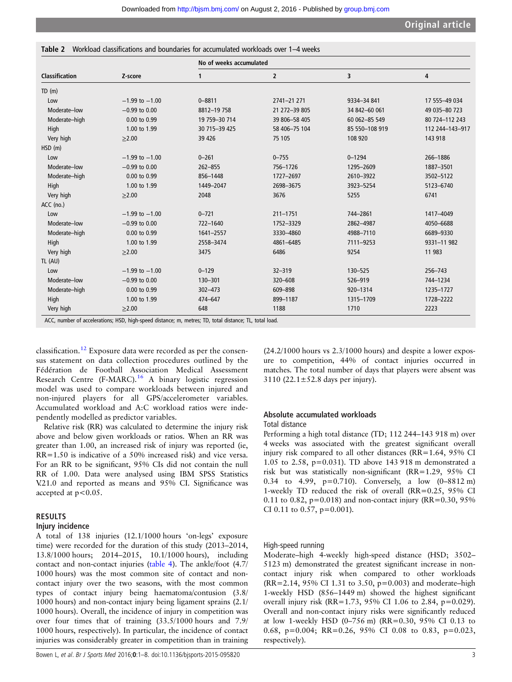<span id="page-2-0"></span>

|  | <b>Table 2</b> Workload classifications and boundaries for accumulated workloads over 1–4 weeks |  |  |  |  |
|--|-------------------------------------------------------------------------------------------------|--|--|--|--|
|--|-------------------------------------------------------------------------------------------------|--|--|--|--|

|                       |                    | No of weeks accumulated |                |                |                 |  |  |  |  |
|-----------------------|--------------------|-------------------------|----------------|----------------|-----------------|--|--|--|--|
| <b>Classification</b> | Z-score            | 1                       | $\overline{2}$ | 3              | 4               |  |  |  |  |
| TD(m)                 |                    |                         |                |                |                 |  |  |  |  |
| Low                   | $-1.99$ to $-1.00$ | $0 - 8811$              | 2741-21 271    | 9334-34 841    | 17 555-49 034   |  |  |  |  |
| Moderate-low          | $-0.99$ to $0.00$  | 8812-19 758             | 21 272-39 805  | 34 842-60 061  | 49 035 - 80 723 |  |  |  |  |
| Moderate-high         | 0.00 to 0.99       | 19 759-30 714           | 39 806-58 405  | 60 062-85 549  | 80 724-112 243  |  |  |  |  |
| High                  | 1.00 to 1.99       | 30 715 - 39 425         | 58 406-75 104  | 85 550-108 919 | 112 244-143-917 |  |  |  |  |
| Very high             | $\geq 2.00$        | 39 4 26                 | 75 105         | 108 920        | 143 918         |  |  |  |  |
| HSD(m)                |                    |                         |                |                |                 |  |  |  |  |
| Low                   | $-1.99$ to $-1.00$ | $0 - 261$               | $0 - 755$      | $0 - 1294$     | 266-1886        |  |  |  |  |
| Moderate-low          | $-0.99$ to $0.00$  | $262 - 855$             | 756-1726       | 1295-2609      | 1887-3501       |  |  |  |  |
| Moderate-high         | 0.00 to 0.99       | 856-1448                | 1727-2697      | 2610-3922      | 3502-5122       |  |  |  |  |
| High                  | 1.00 to 1.99       | 1449-2047               | 2698-3675      | 3923-5254      | 5123-6740       |  |  |  |  |
| Very high             | >2.00              | 2048                    | 3676           | 5255           | 6741            |  |  |  |  |
| ACC (no.)             |                    |                         |                |                |                 |  |  |  |  |
| Low                   | $-1.99$ to $-1.00$ | $0 - 721$               | $211 - 1751$   | 744-2861       | 1417-4049       |  |  |  |  |
| Moderate-low          | $-0.99$ to $0.00$  | 722-1640                | 1752-3329      | 2862-4987      | 4050-6688       |  |  |  |  |
| Moderate-high         | 0.00 to 0.99       | 1641-2557               | 3330-4860      | 4988-7110      | 6689-9330       |  |  |  |  |
| High                  | 1.00 to 1.99       | 2558-3474               | 4861-6485      | 7111-9253      | 9331-11982      |  |  |  |  |
| Very high             | >2.00              | 3475                    | 6486           | 9254           | 11 983          |  |  |  |  |
| TL (AU)               |                    |                         |                |                |                 |  |  |  |  |
| Low                   | $-1.99$ to $-1.00$ | $0 - 129$               | $32 - 319$     | 130-525        | 256-743         |  |  |  |  |
| Moderate-low          | $-0.99$ to $0.00$  | 130-301                 | 320-608        | 526-919        | 744-1234        |  |  |  |  |
| Moderate-high         | 0.00 to 0.99       | $302 - 473$             | 609-898        | 920-1314       | 1235-1727       |  |  |  |  |
| High                  | 1.00 to 1.99       | 474-647                 | 899-1187       | 1315-1709      | 1728-2222       |  |  |  |  |
| Very high             | >2.00              | 648                     | 1188           | 1710           | 2223            |  |  |  |  |

classification.[12](#page-7-0) Exposure data were recorded as per the consensus statement on data collection procedures outlined by the Fédération de Football Association Medical Assessment Research Centre  $(F-MARC)$ .<sup>[16](#page-7-0)</sup> A binary logistic regression model was used to compare workloads between injured and non-injured players for all GPS/accelerometer variables. Accumulated workload and A:C workload ratios were independently modelled as predictor variables.

Relative risk (RR) was calculated to determine the injury risk above and below given workloads or ratios. When an RR was greater than 1.00, an increased risk of injury was reported (ie, RR=1.50 is indicative of a 50% increased risk) and vice versa. For an RR to be significant, 95% CIs did not contain the null RR of 1.00. Data were analysed using IBM SPSS Statistics V.21.0 and reported as means and 95% CI. Significance was accepted at  $p < 0.05$ .

## RESULTS

#### Injury incidence

A total of 138 injuries (12.1/1000 hours 'on-legs' exposure time) were recorded for the duration of this study (2013–2014, 13.8/1000 hours; 2014–2015, 10.1/1000 hours), including contact and non-contact injuries ([table 4\)](#page-4-0). The ankle/foot (4.7/ 1000 hours) was the most common site of contact and noncontact injury over the two seasons, with the most common types of contact injury being haematoma/contusion (3.8/ 1000 hours) and non-contact injury being ligament sprains (2.1/ 1000 hours). Overall, the incidence of injury in competition was over four times that of training (33.5/1000 hours and 7.9/ 1000 hours, respectively). In particular, the incidence of contact injuries was considerably greater in competition than in training (24.2/1000 hours vs 2.3/1000 hours) and despite a lower exposure to competition, 44% of contact injuries occurred in matches. The total number of days that players were absent was 3110 (22.1 $\pm$ 52.8 days per injury).

## Absolute accumulated workloads

#### Total distance

Performing a high total distance (TD; 112 244–143 918 m) over 4 weeks was associated with the greatest significant overall injury risk compared to all other distances (RR=1.64, 95% CI 1.05 to 2.58, p=0.031). TD above 143 918 m demonstrated a risk but was statistically non-significant (RR=1.29, 95% CI 0.34 to 4.99, p=0.710). Conversely, a low (0–8812 m) 1-weekly TD reduced the risk of overall (RR=0.25, 95% CI 0.11 to 0.82,  $p=0.018$ ) and non-contact injury (RR=0.30, 95%) CI 0.11 to 0.57,  $p=0.001$ ).

#### High-speed running

Moderate–high 4-weekly high-speed distance (HSD; 3502– 5123 m) demonstrated the greatest significant increase in noncontact injury risk when compared to other workloads (RR=2.14, 95% CI 1.31 to 3.50, p=0.003) and moderate–high 1-weekly HSD (856–1449 m) showed the highest significant overall injury risk (RR=1.73, 95% CI 1.06 to 2.84, p=0.029). Overall and non-contact injury risks were significantly reduced at low 1-weekly HSD (0–756 m) (RR=0.30, 95% CI 0.13 to 0.68, p=0.004; RR=0.26, 95% CI 0.08 to 0.83, p=0.023, respectively).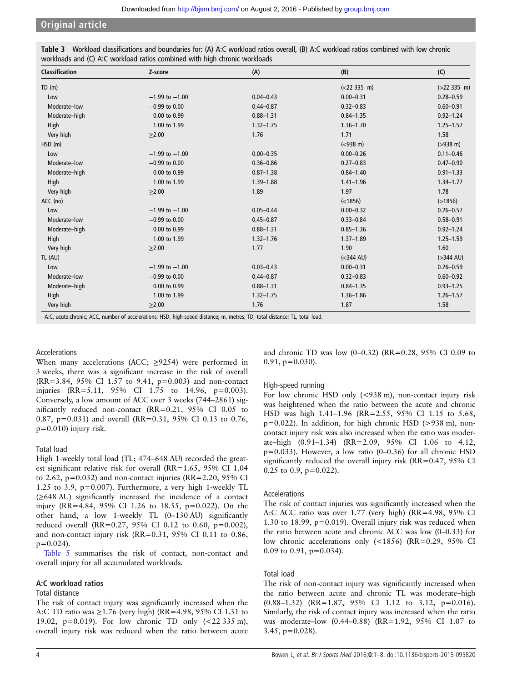| <b>Classification</b> | Z-score            | (A)           | (B)                 | (C)                   |
|-----------------------|--------------------|---------------|---------------------|-----------------------|
| TD(m)                 |                    |               | (<22335 m)          | $( >22335 \text{ m})$ |
| Low                   | $-1.99$ to $-1.00$ | $0.04 - 0.43$ | $0.00 - 0.31$       | $0.28 - 0.59$         |
| Moderate-low          | $-0.99$ to $0.00$  | $0.44 - 0.87$ | $0.32 - 0.83$       | $0.60 - 0.91$         |
| Moderate-high         | 0.00 to 0.99       | $0.88 - 1.31$ | $0.84 - 1.35$       | $0.92 - 1.24$         |
| High                  | 1.00 to 1.99       | $1.32 - 1.75$ | $1.36 - 1.70$       | $1.25 - 1.57$         |
| Very high             | >2.00              | 1.76          | 1.71                | 1.58                  |
| HSD(m)                |                    |               | $(< 938 \text{ m})$ | $( > 938 \text{ m})$  |
| Low                   | $-1.99$ to $-1.00$ | $0.00 - 0.35$ | $0.00 - 0.26$       | $0.11 - 0.46$         |
| Moderate-low          | $-0.99$ to $0.00$  | $0.36 - 0.86$ | $0.27 - 0.83$       | $0.47 - 0.90$         |
| Moderate-high         | 0.00 to 0.99       | $0.87 - 1.38$ | $0.84 - 1.40$       | $0.91 - 1.33$         |
| High                  | 1.00 to 1.99       | $1.39 - 1.88$ | $1.41 - 1.96$       | $1.34 - 1.77$         |
| Very high             | >2.00              | 1.89          | 1.97                | 1.78                  |
| ACC (no)              |                    |               | (<1856)             | (>1856)               |
| Low                   | $-1.99$ to $-1.00$ | $0.05 - 0.44$ | $0.00 - 0.32$       | $0.26 - 0.57$         |
| Moderate-low          | $-0.99$ to $0.00$  | $0.45 - 0.87$ | $0.33 - 0.84$       | $0.58 - 0.91$         |
| Moderate-high         | 0.00 to 0.99       | $0.88 - 1.31$ | $0.85 - 1.36$       | $0.92 - 1.24$         |
| High                  | 1.00 to 1.99       | $1.32 - 1.76$ | $1.37 - 1.89$       | $1.25 - 1.59$         |
| Very high             | >2.00              | 1.77          | 1.90                | 1.60                  |
| TL (AU)               |                    |               | $(<$ 344 AU)        | $($ >344 AU)          |
| Low                   | $-1.99$ to $-1.00$ | $0.03 - 0.43$ | $0.00 - 0.31$       | $0.26 - 0.59$         |
| Moderate-low          | $-0.99$ to $0.00$  | $0.44 - 0.87$ | $0.32 - 0.83$       | $0.60 - 0.92$         |
| Moderate-high         | 0.00 to 0.99       | $0.88 - 1.31$ | $0.84 - 1.35$       | $0.93 - 1.25$         |
| High                  | 1.00 to 1.99       | $1.32 - 1.75$ | $1.36 - 1.86$       | $1.26 - 1.57$         |
| Very high             | >2.00              | 1.76          | 1.87                | 1.58                  |

<span id="page-3-0"></span>Table 3 Workload classifications and boundaries for: (A) A:C workload ratios overall, (B) A:C workload ratios combined with low chronic workloads and (C) A:C workload ratios combined with high chronic workloads

A:C, acute:chronic; ACC, number of accelerations; HSD, high-speed distance; m, metres; TD, total distance; TL, total load.

## Accelerations

When many accelerations (ACC;  $\geq$ 9254) were performed in 3 weeks, there was a significant increase in the risk of overall (RR=3.84, 95% CI 1.57 to 9.41, p=0.003) and non-contact injuries (RR=5.11, 95% CI 1.75 to 14.96, p=0.003). Conversely, a low amount of ACC over 3 weeks (744–2861) significantly reduced non-contact (RR=0.21, 95% CI 0.05 to 0.87, p=0.031) and overall (RR=0.31, 95% CI 0.13 to 0.76,  $p=0.010$ ) injury risk.

## Total load

High 1-weekly total load (TL; 474–648 AU) recorded the greatest significant relative risk for overall (RR=1.65, 95% CI 1.04 to 2.62,  $p=0.032$ ) and non-contact injuries (RR=2.20, 95% CI 1.25 to 3.9, p=0.007). Furthermore, a very high 1-weekly TL (≥648 AU) significantly increased the incidence of a contact injury (RR=4.84, 95% CI 1.26 to 18.55, p=0.022). On the other hand, a low 1-weekly TL (0–130 AU) significantly reduced overall (RR=0.27, 95% CI 0.12 to 0.60,  $p=0.002$ ), and non-contact injury risk (RR=0.31, 95% CI 0.11 to 0.86,  $p=0.024$ ).

[Table 5](#page-5-0) summarises the risk of contact, non-contact and overall injury for all accumulated workloads.

## A:C workload ratios

#### Total distance

The risk of contact injury was significantly increased when the A:C TD ratio was ≥1.76 (very high) (RR=4.98, 95% CI 1.31 to 19.02, p=0.019). For low chronic TD only (<22 335 m), overall injury risk was reduced when the ratio between acute

and chronic TD was low (0–0.32) (RR=0.28, 95% CI 0.09 to  $0.91$ ,  $p=0.030$ ).

## High-speed running

For low chronic HSD only (<938 m), non-contact injury risk was heightened when the ratio between the acute and chronic HSD was high 1.41–1.96 (RR=2.55, 95% CI 1.15 to 5.68,  $p=0.022$ ). In addition, for high chronic HSD (>938 m), noncontact injury risk was also increased when the ratio was moderate–high (0.91–1.34) (RR=2.09, 95% CI 1.06 to 4.12, p=0.033). However, a low ratio (0–0.36) for all chronic HSD significantly reduced the overall injury risk  $(RR=0.47, 95\% \text{ CI}$ 0.25 to 0.9,  $p=0.022$ ).

#### Accelerations

The risk of contact injuries was significantly increased when the A:C ACC ratio was over 1.77 (very high) (RR=4.98, 95% CI 1.30 to 18.99, p=0.019). Overall injury risk was reduced when the ratio between acute and chronic ACC was low (0–0.33) for low chronic accelerations only (<1856) (RR=0.29, 95% CI 0.09 to 0.91,  $p=0.034$ ).

## Total load

The risk of non-contact injury was significantly increased when the ratio between acute and chronic TL was moderate–high (0.88–1.32) (RR=1.87, 95% CI 1.12 to 3.12, p=0.016). Similarly, the risk of contact injury was increased when the ratio was moderate–low (0.44–0.88) (RR=1.92, 95% CI 1.07 to  $3.45, p=0.028$ ).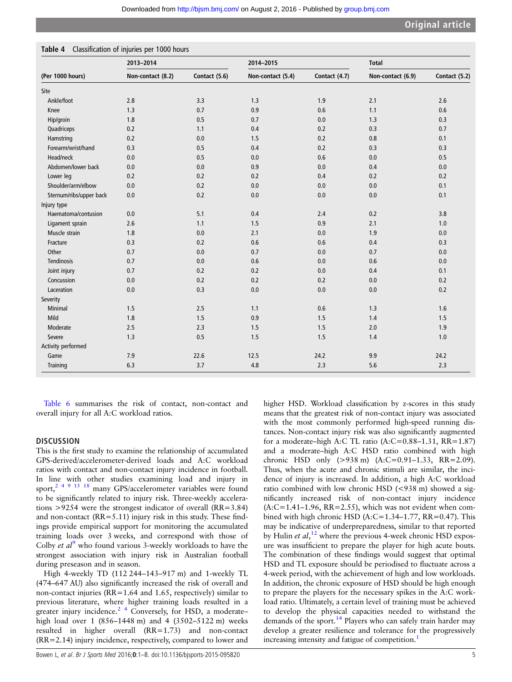|                         | 2013-2014         |               | 2014-2015         |               | <b>Total</b>      |               |  |
|-------------------------|-------------------|---------------|-------------------|---------------|-------------------|---------------|--|
| (Per 1000 hours)        | Non-contact (8.2) | Contact (5.6) | Non-contact (5.4) | Contact (4.7) | Non-contact (6.9) | Contact (5.2) |  |
| Site                    |                   |               |                   |               |                   |               |  |
| Ankle/foot              | 2.8               | 3.3           | 1.3               | 1.9           | 2.1               | 2.6           |  |
| Knee                    | 1.3               | 0.7           | 0.9               | 0.6           | 1.1               | 0.6           |  |
| Hip/groin               | 1.8               | 0.5           | 0.7               | 0.0           | 1.3               | 0.3           |  |
| Quadriceps              | 0.2               | 1.1           | 0.4               | 0.2           | 0.3               | 0.7           |  |
| Hamstring               | 0.2               | 0.0           | 1.5               | 0.2           | 0.8               | 0.1           |  |
| Forearm/wrist/hand      | 0.3               | 0.5           | 0.4               | 0.2           | 0.3               | 0.3           |  |
| Head/neck               | $0.0\,$           | 0.5           | 0.0               | 0.6           | 0.0               | 0.5           |  |
| Abdomen/lower back      | 0.0               | 0.0           | 0.9               | 0.0           | 0.4               | 0.0           |  |
| Lower leg               | 0.2               | 0.2           | 0.2               | 0.4           | 0.2               | 0.2           |  |
| Shoulder/arm/elbow      | 0.0               | 0.2           | 0.0               | 0.0           | 0.0               | 0.1           |  |
| Sternum/ribs/upper back | 0.0               | 0.2           | 0.0               | 0.0           | 0.0               | 0.1           |  |
| Injury type             |                   |               |                   |               |                   |               |  |
| Haematoma/contusion     | 0.0               | 5.1           | 0.4               | 2.4           | 0.2               | 3.8           |  |
| Ligament sprain         | 2.6               | 1.1           | 1.5               | 0.9           | 2.1               | 1.0           |  |
| Muscle strain           | 1.8               | 0.0           | 2.1               | 0.0           | 1.9               | 0.0           |  |
| Fracture                | 0.3               | 0.2           | 0.6               | 0.6           | 0.4               | 0.3           |  |
| Other                   | 0.7               | 0.0           | 0.7               | 0.0           | 0.7               | 0.0           |  |
| Tendinosis              | 0.7               | 0.0           | 0.6               | 0.0           | 0.6               | 0.0           |  |
| Joint injury            | 0.7               | 0.2           | 0.2               | 0.0           | 0.4               | 0.1           |  |
| Concussion              | $0.0\,$           | 0.2           | 0.2               | 0.2           | 0.0               | 0.2           |  |
| Laceration              | 0.0               | 0.3           | 0.0               | 0.0           | 0.0               | 0.2           |  |
| Severity                |                   |               |                   |               |                   |               |  |
| Minimal                 | 1.5               | 2.5           | 1.1               | 0.6           | 1.3               | 1.6           |  |
| Mild                    | 1.8               | 1.5           | 0.9               | 1.5           | 1.4               | 1.5           |  |
| Moderate                | 2.5               | 2.3           | 1.5               | 1.5           | 2.0               | 1.9           |  |
| Severe                  | 1.3               | 0.5           | 1.5               | 1.5           | 1.4               | 1.0           |  |
| Activity performed      |                   |               |                   |               |                   |               |  |
| Game                    | 7.9               | 22.6          | 12.5              | 24.2          | 9.9               | 24.2          |  |
| Training                | 6.3               | 3.7           | 4.8               | 2.3           | 5.6               | 2.3           |  |

<span id="page-4-0"></span>Table 4 Classification of injuries per 1000 hours

[Table 6](#page-6-0) summarises the risk of contact, non-contact and overall injury for all A:C workload ratios.

## **DISCUSSION**

This is the first study to examine the relationship of accumulated GPS-derived/accelerometer-derived loads and A:C workload ratios with contact and non-contact injury incidence in football. In line with other studies examining load and injury in sport,<sup>2</sup> <sup>4</sup> <sup>9</sup> <sup>15</sup> <sup>18</sup> many GPS/accelerometer variables were found to be significantly related to injury risk. Three-weekly accelerations >9254 were the strongest indicator of overall (RR=3.84) and non-contact (RR=5.11) injury risk in this study. These findings provide empirical support for monitoring the accumulated training loads over 3 weeks, and correspond with those of Colby *et al*<sup>[9](#page-7-0)</sup> who found various 3-weekly workloads to have the strongest association with injury risk in Australian football during preseason and in season.

High 4-weekly TD (112 244–143–917 m) and 1-weekly TL (474–647 AU) also significantly increased the risk of overall and non-contact injuries (RR=1.64 and 1.65, respectively) similar to previous literature, where higher training loads resulted in a greater injury incidence.<sup>2</sup>  $4$  Conversely, for HSD, a moderatehigh load over 1 (856–1448 m) and 4 (3502–5122 m) weeks resulted in higher overall (RR=1.73) and non-contact (RR=2.14) injury incidence, respectively, compared to lower and higher HSD. Workload classification by z-scores in this study means that the greatest risk of non-contact injury was associated with the most commonly performed high-speed running distances. Non-contact injury risk was also significantly augmented for a moderate–high A:C TL ratio (A:C=0.88–1.31, RR=1.87) and a moderate–high A:C HSD ratio combined with high chronic HSD only (>938 m) (A:C=0.91–1.33, RR=2.09). Thus, when the acute and chronic stimuli are similar, the incidence of injury is increased. In addition, a high A:C workload ratio combined with low chronic HSD (<938 m) showed a significantly increased risk of non-contact injury incidence (A:C=1.41–1.96, RR=2.55), which was not evident when combined with high chronic HSD  $(A:C=1.34-1.77, RR=0.47)$ . This may be indicative of underpreparedness, similar to that reported by Hulin et  $al$ ,<sup>[12](#page-7-0)</sup> where the previous 4-week chronic HSD exposure was insufficient to prepare the player for high acute bouts. The combination of these findings would suggest that optimal HSD and TL exposure should be periodised to fluctuate across a 4-week period, with the achievement of high and low workloads. In addition, the chronic exposure of HSD should be high enough to prepare the players for the necessary spikes in the A:C workload ratio. Ultimately, a certain level of training must be achieved to develop the physical capacities needed to withstand the demands of the sport.<sup>[14](#page-7-0)</sup> Players who can safely train harder may develop a greater resilience and tolerance for the progressively increasing intensity and fatigue of competition.<sup>[1](#page-7-0)</sup>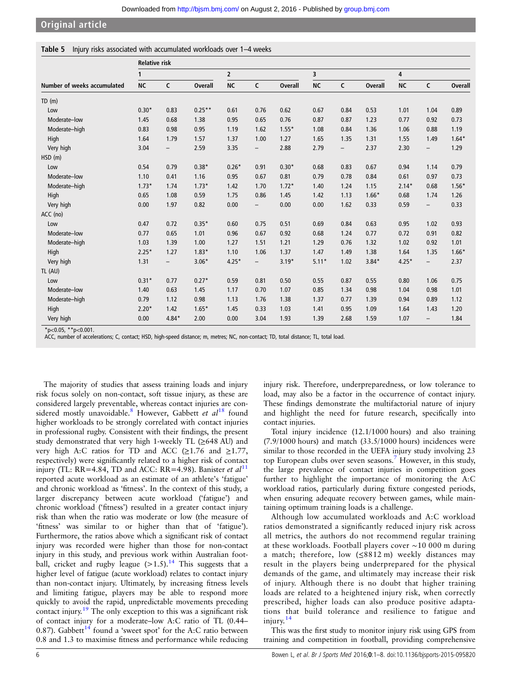## <span id="page-5-0"></span>Table 5 Injury risks associated with accumulated workloads over 1–4 weeks

|                             | <b>Relative risk</b> |                          |                |             |                   |                |           |                   |                |           |                          |                |  |
|-----------------------------|----------------------|--------------------------|----------------|-------------|-------------------|----------------|-----------|-------------------|----------------|-----------|--------------------------|----------------|--|
|                             | 1                    |                          |                | $\mathbf 2$ |                   |                |           | 3                 |                |           | 4                        |                |  |
| Number of weeks accumulated | <b>NC</b>            | C                        | <b>Overall</b> | <b>NC</b>   | $\mathsf{C}$      | <b>Overall</b> | <b>NC</b> | C                 | <b>Overall</b> | <b>NC</b> | C                        | <b>Overall</b> |  |
| TD(m)                       |                      |                          |                |             |                   |                |           |                   |                |           |                          |                |  |
| Low                         | $0.30*$              | 0.83                     | $0.25***$      | 0.61        | 0.76              | 0.62           | 0.67      | 0.84              | 0.53           | 1.01      | 1.04                     | 0.89           |  |
| Moderate-low                | 1.45                 | 0.68                     | 1.38           | 0.95        | 0.65              | 0.76           | 0.87      | 0.87              | 1.23           | 0.77      | 0.92                     | 0.73           |  |
| Moderate-high               | 0.83                 | 0.98                     | 0.95           | 1.19        | 1.62              | $1.55*$        | 1.08      | 0.84              | 1.36           | 1.06      | 0.88                     | 1.19           |  |
| High                        | 1.64                 | 1.79                     | 1.57           | 1.37        | 1.00              | 1.27           | 1.65      | 1.35              | 1.31           | 1.55      | 1.49                     | $1.64*$        |  |
| Very high                   | 3.04                 | $\overline{\phantom{a}}$ | 2.59           | 3.35        | $\qquad \qquad -$ | 2.88           | 2.79      | $\qquad \qquad -$ | 2.37           | 2.30      | $\overline{\phantom{0}}$ | 1.29           |  |
| HSD(m)                      |                      |                          |                |             |                   |                |           |                   |                |           |                          |                |  |
| Low                         | 0.54                 | 0.79                     | $0.38*$        | $0.26*$     | 0.91              | $0.30*$        | 0.68      | 0.83              | 0.67           | 0.94      | 1.14                     | 0.79           |  |
| Moderate-low                | 1.10                 | 0.41                     | 1.16           | 0.95        | 0.67              | 0.81           | 0.79      | 0.78              | 0.84           | 0.61      | 0.97                     | 0.73           |  |
| Moderate-high               | $1.73*$              | 1.74                     | $1.73*$        | 1.42        | 1.70              | $1.72*$        | 1.40      | 1.24              | 1.15           | $2.14*$   | 0.68                     | $1.56*$        |  |
| High                        | 0.65                 | 1.08                     | 0.59           | 1.75        | 0.86              | 1.45           | 1.42      | 1.13              | $1.66*$        | 0.68      | 1.74                     | 1.26           |  |
| Very high                   | 0.00                 | 1.97                     | 0.82           | 0.00        | $\qquad \qquad -$ | 0.00           | 0.00      | 1.62              | 0.33           | 0.59      | -                        | 0.33           |  |
| ACC (no)                    |                      |                          |                |             |                   |                |           |                   |                |           |                          |                |  |
| Low                         | 0.47                 | 0.72                     | $0.35*$        | 0.60        | 0.75              | 0.51           | 0.69      | 0.84              | 0.63           | 0.95      | 1.02                     | 0.93           |  |
| Moderate-low                | 0.77                 | 0.65                     | 1.01           | 0.96        | 0.67              | 0.92           | 0.68      | 1.24              | 0.77           | 0.72      | 0.91                     | 0.82           |  |
| Moderate-high               | 1.03                 | 1.39                     | 1.00           | 1.27        | 1.51              | 1.21           | 1.29      | 0.76              | 1.32           | 1.02      | 0.92                     | 1.01           |  |
| High                        | $2.25*$              | 1.27                     | $1.83*$        | 1.10        | 1.06              | 1.37           | 1.47      | 1.49              | 1.38           | 1.64      | 1.35                     | $1.66*$        |  |
| Very high                   | 1.31                 | $\overline{\phantom{a}}$ | $3.06*$        | $4.25*$     | $\qquad \qquad -$ | $3.19*$        | $5.11*$   | 1.02              | $3.84*$        | $4.25*$   | $\overline{\phantom{0}}$ | 2.37           |  |
| TL (AU)                     |                      |                          |                |             |                   |                |           |                   |                |           |                          |                |  |
| Low                         | $0.31*$              | 0.77                     | $0.27*$        | 0.59        | 0.81              | 0.50           | 0.55      | 0.87              | 0.55           | 0.80      | 1.06                     | 0.75           |  |
| Moderate-low                | 1.40                 | 0.63                     | 1.45           | 1.17        | 0.70              | 1.07           | 0.85      | 1.34              | 0.98           | 1.04      | 0.98                     | 1.01           |  |
| Moderate-high               | 0.79                 | 1.12                     | 0.98           | 1.13        | 1.76              | 1.38           | 1.37      | 0.77              | 1.39           | 0.94      | 0.89                     | 1.12           |  |
| High                        | $2.20*$              | 1.42                     | $1.65*$        | 1.45        | 0.33              | 1.03           | 1.41      | 0.95              | 1.09           | 1.64      | 1.43                     | 1.20           |  |
| Very high                   | 0.00                 | $4.84*$                  | 2.00           | 0.00        | 3.04              | 1.93           | 1.39      | 2.68              | 1.59           | 1.07      | $\qquad \qquad -$        | 1.84           |  |

 $*p<0.05$ ,  $*p<0.001$ .

ACC, number of accelerations; C, contact; HSD, high-speed distance; m, metres; NC, non-contact; TD, total distance; TL, total load.

The majority of studies that assess training loads and injury risk focus solely on non-contact, soft tissue injury, as these are considered largely preventable, whereas contact injuries are con-sidered mostly unavoidable.<sup>[8](#page-7-0)</sup> However, Gabbett et  $al^{18}$  $al^{18}$  $al^{18}$  found higher workloads to be strongly correlated with contact injuries in professional rugby. Consistent with their findings, the present study demonstrated that very high 1-weekly TL (≥648 AU) and very high A:C ratios for TD and ACC  $(\geq 1.76$  and  $\geq 1.77$ , respectively) were significantly related to a higher risk of contact injury (TL: RR=4.84, TD and ACC: RR=4.98). Banister et  $al<sup>11</sup>$  $al<sup>11</sup>$  $al<sup>11</sup>$ reported acute workload as an estimate of an athlete's 'fatigue' and chronic workload as 'fitness'. In the context of this study, a larger discrepancy between acute workload ('fatigue') and chronic workload ('fitness') resulted in a greater contact injury risk than when the ratio was moderate or low (the measure of 'fitness' was similar to or higher than that of 'fatigue'). Furthermore, the ratios above which a significant risk of contact injury was recorded were higher than those for non-contact injury in this study, and previous work within Australian football, cricket and rugby league  $(>1.5)$ .<sup>[14](#page-7-0)</sup> This suggests that a higher level of fatigue (acute workload) relates to contact injury than non-contact injury. Ultimately, by increasing fitness levels and limiting fatigue, players may be able to respond more quickly to avoid the rapid, unpredictable movements preceding contact injury.[19](#page-7-0) The only exception to this was a significant risk of contact injury for a moderate–low A:C ratio of TL (0.44– 0.87). Gabbett<sup>[14](#page-7-0)</sup> found a 'sweet spot' for the A:C ratio between 0.8 and 1.3 to maximise fitness and performance while reducing

injury risk. Therefore, underpreparedness, or low tolerance to load, may also be a factor in the occurrence of contact injury. These findings demonstrate the multifactorial nature of injury and highlight the need for future research, specifically into contact injuries.

Total injury incidence (12.1/1000 hours) and also training  $(7.9/1000$  hours) and match  $(33.5/1000$  hours) incidences were similar to those recorded in the UEFA injury study involving 23 top European clubs over seven seasons.<sup>[7](#page-7-0)</sup> However, in this study, the large prevalence of contact injuries in competition goes further to highlight the importance of monitoring the A:C workload ratios, particularly during fixture congested periods, when ensuring adequate recovery between games, while maintaining optimum training loads is a challenge.

Although low accumulated workloads and A:C workload ratios demonstrated a significantly reduced injury risk across all metrics, the authors do not recommend regular training at these workloads. Football players cover ∼10 000 m during a match; therefore, low  $(\leq 8812 \text{ m})$  weekly distances may result in the players being underprepared for the physical demands of the game, and ultimately may increase their risk of injury. Although there is no doubt that higher training loads are related to a heightened injury risk, when correctly prescribed, higher loads can also produce positive adaptations that build tolerance and resilience to fatigue and injury. $14$ 

This was the first study to monitor injury risk using GPS from training and competition in football, providing comprehensive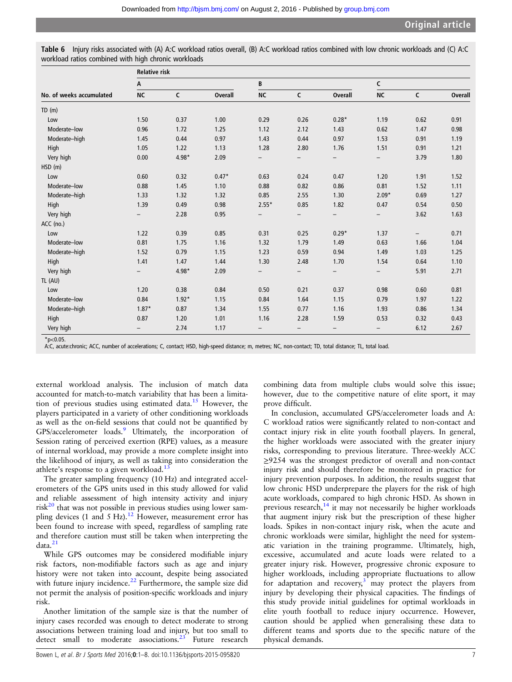| B<br>A<br>C<br>$\mathsf{C}$<br>$\mathsf{C}$<br><b>NC</b><br><b>Overall</b><br>$\mathsf{C}$<br>No. of weeks accumulated<br><b>NC</b><br><b>Overall</b><br><b>NC</b><br>TD(m)<br>0.37<br>1.00<br>0.29<br>$0.28*$<br>1.19<br>0.62<br>0.91<br>1.50<br>0.26<br>Low<br>0.62<br>Moderate-low<br>0.96<br>1.72<br>1.25<br>1.12<br>2.12<br>1.43<br>1.47<br>0.98<br>0.97<br>0.44<br>0.97<br>1.53<br>1.19<br>Moderate-high<br>1.45<br>0.44<br>1.43<br>0.91<br>High<br>1.13<br>1.28<br>2.80<br>1.76<br>1.51<br>1.21<br>1.05<br>1.22<br>0.91<br>4.98*<br>2.09<br>Very high<br>0.00<br>3.79<br>1.80<br>HSD(m)<br>$0.47*$<br>0.63<br>0.60<br>0.32<br>0.24<br>0.47<br>1.20<br>1.91<br>1.52<br>Low<br>0.88<br>1.10<br>0.82<br>0.86<br>0.81<br>1.11<br>Moderate-low<br>1.45<br>0.88<br>1.52<br>0.85<br>Moderate-high<br>1.33<br>1.32<br>1.32<br>2.55<br>1.30<br>$2.09*$<br>0.69<br>1.27<br>High<br>1.39<br>0.49<br>0.98<br>$2.55*$<br>0.85<br>1.82<br>0.47<br>0.54<br>0.50<br>Very high<br>2.28<br>0.95<br>3.62<br>1.63<br>$\overline{\phantom{0}}$<br>$\overline{\phantom{0}}$<br>-<br>$\overline{\phantom{0}}$<br>-<br>ACC (no.)<br>1.22<br>0.85<br>0.31<br>Low<br>0.39<br>0.25<br>$0.29*$<br>1.37<br>0.71<br>$ \,$<br>0.81<br>0.63<br>Moderate-low<br>1.16<br>1.32<br>1.79<br>1.49<br>1.66<br>1.04<br>1.75<br>1.15<br>0.59<br>0.94<br>1.49<br>1.03<br>Moderate-high<br>1.52<br>0.79<br>1.23<br>1.25<br>High<br>1.41<br>1.47<br>1.44<br>2.48<br>1.10<br>1.30<br>1.70<br>1.54<br>0.64<br>Very high<br>$4.98*$<br>2.09<br>5.91<br>2.71<br>-<br>-<br>TL (AU)<br>0.50<br>0.21<br>1.20<br>0.38<br>0.84<br>0.37<br>0.98<br>0.60<br>0.81<br>Low<br>0.84<br>$1.92*$<br>1.15<br>0.84<br>1.64<br>1.15<br>0.79<br>1.97<br>1.22<br>Moderate-low<br>$1.87*$<br>1.16<br>Moderate-high<br>0.87<br>1.34<br>0.77<br>1.93<br>0.86<br>1.34<br>1.55<br>High<br>1.20<br>1.01<br>1.16<br>0.87<br>2.28<br>1.59<br>0.53<br>0.32<br>0.43 |           | <b>Relative risk</b> |  |  |  |  |  |  |  |                |  |
|------------------------------------------------------------------------------------------------------------------------------------------------------------------------------------------------------------------------------------------------------------------------------------------------------------------------------------------------------------------------------------------------------------------------------------------------------------------------------------------------------------------------------------------------------------------------------------------------------------------------------------------------------------------------------------------------------------------------------------------------------------------------------------------------------------------------------------------------------------------------------------------------------------------------------------------------------------------------------------------------------------------------------------------------------------------------------------------------------------------------------------------------------------------------------------------------------------------------------------------------------------------------------------------------------------------------------------------------------------------------------------------------------------------------------------------------------------------------------------------------------------------------------------------------------------------------------------------------------------------------------------------------------------------------------------------------------------------------------------------------------------------------------------------------------------------------------------------------------------------------------------------------|-----------|----------------------|--|--|--|--|--|--|--|----------------|--|
|                                                                                                                                                                                                                                                                                                                                                                                                                                                                                                                                                                                                                                                                                                                                                                                                                                                                                                                                                                                                                                                                                                                                                                                                                                                                                                                                                                                                                                                                                                                                                                                                                                                                                                                                                                                                                                                                                                |           |                      |  |  |  |  |  |  |  |                |  |
|                                                                                                                                                                                                                                                                                                                                                                                                                                                                                                                                                                                                                                                                                                                                                                                                                                                                                                                                                                                                                                                                                                                                                                                                                                                                                                                                                                                                                                                                                                                                                                                                                                                                                                                                                                                                                                                                                                |           |                      |  |  |  |  |  |  |  | <b>Overall</b> |  |
|                                                                                                                                                                                                                                                                                                                                                                                                                                                                                                                                                                                                                                                                                                                                                                                                                                                                                                                                                                                                                                                                                                                                                                                                                                                                                                                                                                                                                                                                                                                                                                                                                                                                                                                                                                                                                                                                                                |           |                      |  |  |  |  |  |  |  |                |  |
|                                                                                                                                                                                                                                                                                                                                                                                                                                                                                                                                                                                                                                                                                                                                                                                                                                                                                                                                                                                                                                                                                                                                                                                                                                                                                                                                                                                                                                                                                                                                                                                                                                                                                                                                                                                                                                                                                                |           |                      |  |  |  |  |  |  |  |                |  |
|                                                                                                                                                                                                                                                                                                                                                                                                                                                                                                                                                                                                                                                                                                                                                                                                                                                                                                                                                                                                                                                                                                                                                                                                                                                                                                                                                                                                                                                                                                                                                                                                                                                                                                                                                                                                                                                                                                |           |                      |  |  |  |  |  |  |  |                |  |
|                                                                                                                                                                                                                                                                                                                                                                                                                                                                                                                                                                                                                                                                                                                                                                                                                                                                                                                                                                                                                                                                                                                                                                                                                                                                                                                                                                                                                                                                                                                                                                                                                                                                                                                                                                                                                                                                                                |           |                      |  |  |  |  |  |  |  |                |  |
|                                                                                                                                                                                                                                                                                                                                                                                                                                                                                                                                                                                                                                                                                                                                                                                                                                                                                                                                                                                                                                                                                                                                                                                                                                                                                                                                                                                                                                                                                                                                                                                                                                                                                                                                                                                                                                                                                                |           |                      |  |  |  |  |  |  |  |                |  |
|                                                                                                                                                                                                                                                                                                                                                                                                                                                                                                                                                                                                                                                                                                                                                                                                                                                                                                                                                                                                                                                                                                                                                                                                                                                                                                                                                                                                                                                                                                                                                                                                                                                                                                                                                                                                                                                                                                |           |                      |  |  |  |  |  |  |  |                |  |
|                                                                                                                                                                                                                                                                                                                                                                                                                                                                                                                                                                                                                                                                                                                                                                                                                                                                                                                                                                                                                                                                                                                                                                                                                                                                                                                                                                                                                                                                                                                                                                                                                                                                                                                                                                                                                                                                                                |           |                      |  |  |  |  |  |  |  |                |  |
|                                                                                                                                                                                                                                                                                                                                                                                                                                                                                                                                                                                                                                                                                                                                                                                                                                                                                                                                                                                                                                                                                                                                                                                                                                                                                                                                                                                                                                                                                                                                                                                                                                                                                                                                                                                                                                                                                                |           |                      |  |  |  |  |  |  |  |                |  |
|                                                                                                                                                                                                                                                                                                                                                                                                                                                                                                                                                                                                                                                                                                                                                                                                                                                                                                                                                                                                                                                                                                                                                                                                                                                                                                                                                                                                                                                                                                                                                                                                                                                                                                                                                                                                                                                                                                |           |                      |  |  |  |  |  |  |  |                |  |
|                                                                                                                                                                                                                                                                                                                                                                                                                                                                                                                                                                                                                                                                                                                                                                                                                                                                                                                                                                                                                                                                                                                                                                                                                                                                                                                                                                                                                                                                                                                                                                                                                                                                                                                                                                                                                                                                                                |           |                      |  |  |  |  |  |  |  |                |  |
|                                                                                                                                                                                                                                                                                                                                                                                                                                                                                                                                                                                                                                                                                                                                                                                                                                                                                                                                                                                                                                                                                                                                                                                                                                                                                                                                                                                                                                                                                                                                                                                                                                                                                                                                                                                                                                                                                                |           |                      |  |  |  |  |  |  |  |                |  |
|                                                                                                                                                                                                                                                                                                                                                                                                                                                                                                                                                                                                                                                                                                                                                                                                                                                                                                                                                                                                                                                                                                                                                                                                                                                                                                                                                                                                                                                                                                                                                                                                                                                                                                                                                                                                                                                                                                |           |                      |  |  |  |  |  |  |  |                |  |
|                                                                                                                                                                                                                                                                                                                                                                                                                                                                                                                                                                                                                                                                                                                                                                                                                                                                                                                                                                                                                                                                                                                                                                                                                                                                                                                                                                                                                                                                                                                                                                                                                                                                                                                                                                                                                                                                                                |           |                      |  |  |  |  |  |  |  |                |  |
|                                                                                                                                                                                                                                                                                                                                                                                                                                                                                                                                                                                                                                                                                                                                                                                                                                                                                                                                                                                                                                                                                                                                                                                                                                                                                                                                                                                                                                                                                                                                                                                                                                                                                                                                                                                                                                                                                                |           |                      |  |  |  |  |  |  |  |                |  |
|                                                                                                                                                                                                                                                                                                                                                                                                                                                                                                                                                                                                                                                                                                                                                                                                                                                                                                                                                                                                                                                                                                                                                                                                                                                                                                                                                                                                                                                                                                                                                                                                                                                                                                                                                                                                                                                                                                |           |                      |  |  |  |  |  |  |  |                |  |
|                                                                                                                                                                                                                                                                                                                                                                                                                                                                                                                                                                                                                                                                                                                                                                                                                                                                                                                                                                                                                                                                                                                                                                                                                                                                                                                                                                                                                                                                                                                                                                                                                                                                                                                                                                                                                                                                                                |           |                      |  |  |  |  |  |  |  |                |  |
|                                                                                                                                                                                                                                                                                                                                                                                                                                                                                                                                                                                                                                                                                                                                                                                                                                                                                                                                                                                                                                                                                                                                                                                                                                                                                                                                                                                                                                                                                                                                                                                                                                                                                                                                                                                                                                                                                                |           |                      |  |  |  |  |  |  |  |                |  |
|                                                                                                                                                                                                                                                                                                                                                                                                                                                                                                                                                                                                                                                                                                                                                                                                                                                                                                                                                                                                                                                                                                                                                                                                                                                                                                                                                                                                                                                                                                                                                                                                                                                                                                                                                                                                                                                                                                |           |                      |  |  |  |  |  |  |  |                |  |
|                                                                                                                                                                                                                                                                                                                                                                                                                                                                                                                                                                                                                                                                                                                                                                                                                                                                                                                                                                                                                                                                                                                                                                                                                                                                                                                                                                                                                                                                                                                                                                                                                                                                                                                                                                                                                                                                                                |           |                      |  |  |  |  |  |  |  |                |  |
|                                                                                                                                                                                                                                                                                                                                                                                                                                                                                                                                                                                                                                                                                                                                                                                                                                                                                                                                                                                                                                                                                                                                                                                                                                                                                                                                                                                                                                                                                                                                                                                                                                                                                                                                                                                                                                                                                                |           |                      |  |  |  |  |  |  |  |                |  |
|                                                                                                                                                                                                                                                                                                                                                                                                                                                                                                                                                                                                                                                                                                                                                                                                                                                                                                                                                                                                                                                                                                                                                                                                                                                                                                                                                                                                                                                                                                                                                                                                                                                                                                                                                                                                                                                                                                |           |                      |  |  |  |  |  |  |  |                |  |
|                                                                                                                                                                                                                                                                                                                                                                                                                                                                                                                                                                                                                                                                                                                                                                                                                                                                                                                                                                                                                                                                                                                                                                                                                                                                                                                                                                                                                                                                                                                                                                                                                                                                                                                                                                                                                                                                                                |           |                      |  |  |  |  |  |  |  |                |  |
|                                                                                                                                                                                                                                                                                                                                                                                                                                                                                                                                                                                                                                                                                                                                                                                                                                                                                                                                                                                                                                                                                                                                                                                                                                                                                                                                                                                                                                                                                                                                                                                                                                                                                                                                                                                                                                                                                                |           |                      |  |  |  |  |  |  |  |                |  |
| 1.17<br>6.12<br>2.67<br>2.74                                                                                                                                                                                                                                                                                                                                                                                                                                                                                                                                                                                                                                                                                                                                                                                                                                                                                                                                                                                                                                                                                                                                                                                                                                                                                                                                                                                                                                                                                                                                                                                                                                                                                                                                                                                                                                                                   | Very high |                      |  |  |  |  |  |  |  |                |  |

<span id="page-6-0"></span>Injury risks associated with (A) A:C workload ratios overall, (B) A:C workload ratios combined with low chronic workloads and (C) A:C workload ratios combined with high chronic workloads

A:C, acute:chronic; ACC, number of accelerations; C, contact; HSD, high-speed distance; m, metres; NC, non-contact; TD, total distance; TL, total load.

external workload analysis. The inclusion of match data accounted for match-to-match variability that has been a limita-tion of previous studies using estimated data.<sup>[15](#page-7-0)</sup> However, the players participated in a variety of other conditioning workloads as well as the on-field sessions that could not be quantified by GPS/accelerometer loads.<sup>[9](#page-7-0)</sup> Ultimately, the incorporation of Session rating of perceived exertion (RPE) values, as a measure of internal workload, may provide a more complete insight into the likelihood of injury, as well as taking into consideration the athlete's response to a given workload.<sup>1</sup>

 $*n<0.05$ 

The greater sampling frequency (10 Hz) and integrated accelerometers of the GPS units used in this study allowed for valid and reliable assessment of high intensity activity and injury  $risk^{20}$  $risk^{20}$  $risk^{20}$  that was not possible in previous studies using lower sampling devices (1 and 5 Hz).<sup>12</sup> However, measurement error has been found to increase with speed, regardless of sampling rate and therefore caution must still be taken when interpreting the  $data.<sup>21</sup>$  $data.<sup>21</sup>$  $data.<sup>21</sup>$ 

While GPS outcomes may be considered modifiable injury risk factors, non-modifiable factors such as age and injury history were not taken into account, despite being associated with future injury incidence.<sup>[22](#page-7-0)</sup> Furthermore, the sample size did not permit the analysis of position-specific workloads and injury risk.

Another limitation of the sample size is that the number of injury cases recorded was enough to detect moderate to strong associations between training load and injury, but too small to detect small to moderate associations. $2^3$  Future research

the higher workloads were associated with the greater injury risks, corresponding to previous literature. Three-weekly ACC

prove difficult.

≥9254 was the strongest predictor of overall and non-contact injury risk and should therefore be monitored in practice for injury prevention purposes. In addition, the results suggest that low chronic HSD underprepare the players for the risk of high acute workloads, compared to high chronic HSD. As shown in previous research, $^{14}$  $^{14}$  $^{14}$  it may not necessarily be higher workloads that augment injury risk but the prescription of these higher loads. Spikes in non-contact injury risk, when the acute and chronic workloads were similar, highlight the need for systematic variation in the training programme. Ultimately, high, excessive, accumulated and acute loads were related to a greater injury risk. However, progressive chronic exposure to higher workloads, including appropriate fluctuations to allow for adaptation and recovery, $3$  may protect the players from injury by developing their physical capacities. The findings of this study provide initial guidelines for optimal workloads in elite youth football to reduce injury occurrence. However, caution should be applied when generalising these data to different teams and sports due to the specific nature of the physical demands.

combining data from multiple clubs would solve this issue; however, due to the competitive nature of elite sport, it may

In conclusion, accumulated GPS/accelerometer loads and A: C workload ratios were significantly related to non-contact and contact injury risk in elite youth football players. In general,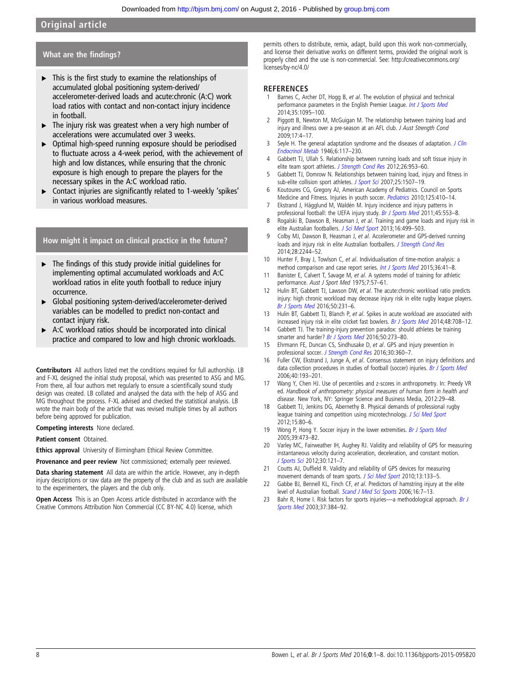## <span id="page-7-0"></span>What are the findings?

- ▸ This is the first study to examine the relationships of accumulated global positioning system-derived/ accelerometer-derived loads and acute:chronic (A:C) work load ratios with contact and non-contact injury incidence in football.
- ▸ The injury risk was greatest when a very high number of accelerations were accumulated over 3 weeks.
- ▸ Optimal high-speed running exposure should be periodised to fluctuate across a 4-week period, with the achievement of high and low distances, while ensuring that the chronic exposure is high enough to prepare the players for the necessary spikes in the A:C workload ratio.
- ▸ Contact injuries are significantly related to 1-weekly 'spikes' in various workload measures.

## How might it impact on clinical practice in the future?

- $\triangleright$  The findings of this study provide initial guidelines for implementing optimal accumulated workloads and A:C workload ratios in elite youth football to reduce injury occurrence.
- ▸ Global positioning system-derived/accelerometer-derived variables can be modelled to predict non-contact and contact injury risk.
- ▶ A:C workload ratios should be incorporated into clinical practice and compared to low and high chronic workloads.

Contributors All authors listed met the conditions required for full authorship. LB and F-XL designed the initial study proposal, which was presented to ASG and MG. From there, all four authors met regularly to ensure a scientifically sound study design was created. LB collated and analysed the data with the help of ASG and MG throughout the process. F-XL advised and checked the statistical analysis. LB wrote the main body of the article that was revised multiple times by all authors before being approved for publication.

Competing interests None declared.

Patient consent Obtained.

Ethics approval University of Birmingham Ethical Review Committee.

Provenance and peer review Not commissioned; externally peer reviewed.

Data sharing statement All data are within the article. However, any in-depth injury descriptions or raw data are the property of the club and as such are available to the experimenters, the players and the club only.

Open Access This is an Open Access article distributed in accordance with the Creative Commons Attribution Non Commercial (CC BY-NC 4.0) license, which

permits others to distribute, remix, adapt, build upon this work non-commercially, and license their derivative works on different terms, provided the original work is properly cited and the use is non-commercial. See: [http://creativecommons.org/](http://creativecommons.org/licenses/by-nc/4.0/) [licenses/by-nc/4.0/](http://creativecommons.org/licenses/by-nc/4.0/)

#### **REFERENCES**

- Barnes C, Archer DT, Hogg B, et al. The evolution of physical and technical performance parameters in the English Premier League. *[Int J Sports Med](http://dx.doi.org/10.1055/s-0034-1375695)* 2014;35:1095–100.
- Piggott B, Newton M, McGuigan M. The relationship between training load and injury and illness over a pre-season at an AFL club. J Aust Strenath Cond 2009;17:4–17.
- 3 Seyle H. The general adaptation syndrome and the diseases of adaptation. [J Clin](http://dx.doi.org/10.1210/jcem-6-2-117) [Endocrinol Metab](http://dx.doi.org/10.1210/jcem-6-2-117) 1946;6:117–230.
- 4 Gabbett TJ, Ullah S. Relationship between running loads and soft tissue injury in elite team sport athletes. [J Strength Cond Res](http://dx.doi.org/10.1519/JSC.0b013e3182302023) 2012;26:953-60.
- 5 Gabbett TJ, Domrow N. Relationships between training load, injury and fitness in sub-elite collision sport athletes. [J Sport Sci](http://dx.doi.org/10.1080/02640410701215066) 2007;25:1507-19.
- 6 Koutoures CG, Gregory AJ, American Academy of Pediatrics. Council on Sports Medicine and Fitness. Injuries in youth soccer. [Pediatrics](http://dx.doi.org/10.1542/peds.2009-3009) 2010;125:410-14.
- 7 Ekstrand J, Hägglund M, Waldén M. Injury incidence and injury patterns in professional football: the UEFA injury study. [Br J Sports Med](http://dx.doi.org/10.1136/bjsm.2009.060582) 2011;45:553-8.
- 8 Rogalski B, Dawson B, Heasman J, et al. Training and game loads and injury risk in elite Australian footballers. [J Sci Med Sport](http://dx.doi.org/10.1016/j.jsams.2012.12.004) 2013;16:499-503.
- 9 Colby MJ, Dawson B, Heasman J, et al. Accelerometer and GPS-derived running loads and injury risk in elite Australian footballers. [J Strength Cond Res](http://dx.doi.org/10.1519/JSC.0000000000000362) 2014;28:2244–52.
- 10 Hunter F, Bray J, Towlson C, et al. Individualisation of time-motion analysis: a method comparison and case report series. [Int J Sports Med](http://dx.doi.org/10.1055/s-0034-1384547) 2015;36:41-8.
- 11 Banister E, Calvert T, Savage M, et al. A systems model of training for athletic performance. Aust J Sport Med 1975;7:57–61.
- 12 Hulin BT, Gabbett TJ, Lawson DW, et al. The acute: chronic workload ratio predicts injury: high chronic workload may decrease injury risk in elite rugby league players. [Br J Sports Med](http://dx.doi.org/10.1136/bjsports-2015-094817) 2016;50:231–6.
- 13 Hulin BT, Gabbett TJ, Blanch P, et al. Spikes in acute workload are associated with increased injury risk in elite cricket fast bowlers. [Br J Sports Med](http://dx.doi.org/10.1136/bjsports-2013-092524) 2014;48:708-12.
- 14 Gabbett TJ. The training-injury prevention paradox: should athletes be training smarter and harder? [Br J Sports Med](http://dx.doi.org/10.1136/bjsports-2015-095788) 2016;50:273-80.
- 15 Ehrmann FE, Duncan CS, Sindhusake D, et al. GPS and injury prevention in professional soccer. [J Strength Cond Res](http://dx.doi.org/10.1519/JSC.0000000000001093) 2016;30:360–7.
- 16 Fuller CW, Ekstrand J, Junge A, et al. Consensus statement on injury definitions and data collection procedures in studies of football (soccer) injuries. [Br J Sports Med](http://dx.doi.org/10.1136/bjsm.2005.025270) 2006;40:193–201.
- 17 Wang Y, Chen HJ. Use of percentiles and z-scores in anthropometry. In: Preedy VR ed. Handbook of anthropometry: physical measures of human form in health and disease. New York, NY: Springer Science and Business Media, 2012:29–48.
- Gabbett TJ, Jenkins DG, Abernethy B. Physical demands of professional rugby league training and competition using microtechnology. [J Sci Med Sport](http://dx.doi.org/10.1016/j.jsams.2011.07.004) 2012;15:80–6.
- 19 Wong P, Hong Y. Soccer injury in the lower extremities. [Br J Sports Med](http://dx.doi.org/10.1136/bjsm.2004.015511) 2005;39:473–82.
- 20 Varley MC, Fairweather IH, Aughey RJ. Validity and reliability of GPS for measuring instantaneous velocity during acceleration, deceleration, and constant motion. [J Sports Sci](http://dx.doi.org/10.1080/02640414.2011.627941) 2012;30:121–7.
- 21 Coutts AJ, Duffield R. Validity and reliability of GPS devices for measuring movement demands of team sports. [J Sci Med Sport](http://dx.doi.org/10.1016/j.jsams.2008.09.015) 2010;13:133-5.
- 22 Gabbe BJ, Bennell KL, Finch CF, et al. Predictors of hamstring injury at the elite level of Australian football. [Scand J Med Sci Sports](http://dx.doi.org/10.1111/j.1600-0838.2005.00441.x) 2006;16:7–13.
- 23 Bahr R, Home I. Risk factors for sports injuries—a methodological approach. [Br J](http://dx.doi.org/10.1136/bjsm.37.5.384) [Sports Med](http://dx.doi.org/10.1136/bjsm.37.5.384) 2003;37:384–92.